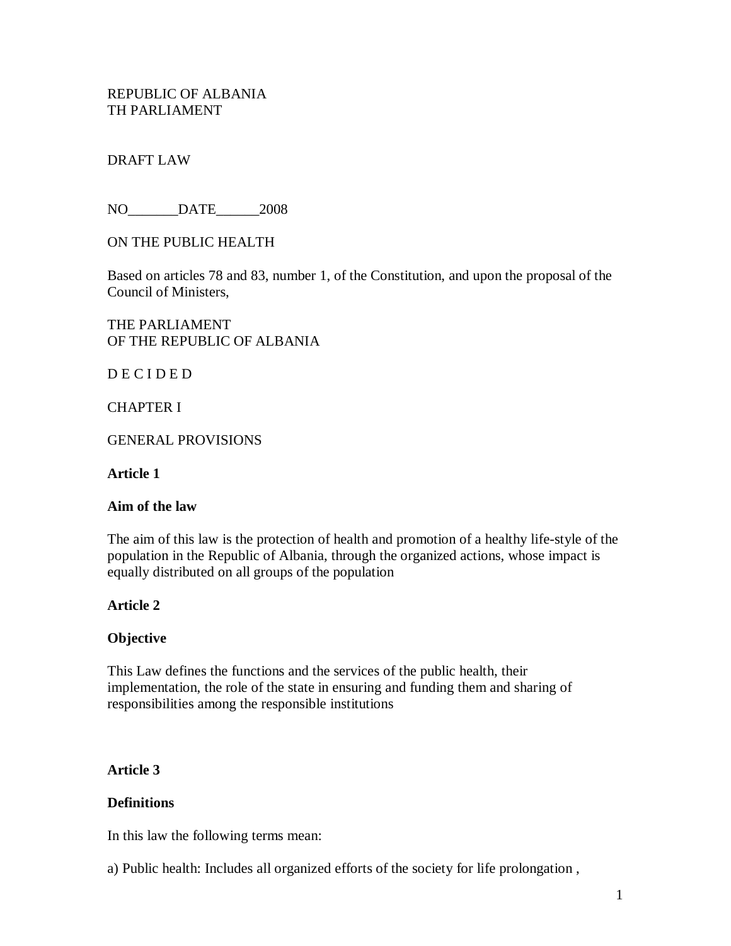REPUBLIC OF ALBANIA TH PARLIAMENT

### DRAFT LAW

NO DATE 2008

ON THE PUBLIC HEALTH

Based on articles 78 and 83, number 1, of the Constitution, and upon the proposal of the Council of Ministers,

THE PARLIAMENT OF THE REPUBLIC OF ALBANIA

D E C I D E D

CHAPTER I

GENERAL PROVISIONS

**Article 1**

#### **Aim of the law**

The aim of this law is the protection of health and promotion of a healthy life-style of the population in the Republic of Albania, through the organized actions, whose impact is equally distributed on all groups of the population

#### **Article 2**

#### **Objective**

This Law defines the functions and the services of the public health, their implementation, the role of the state in ensuring and funding them and sharing of responsibilities among the responsible institutions

#### **Article 3**

#### **Definitions**

In this law the following terms mean:

a) Public health: Includes all organized efforts of the society for life prolongation ,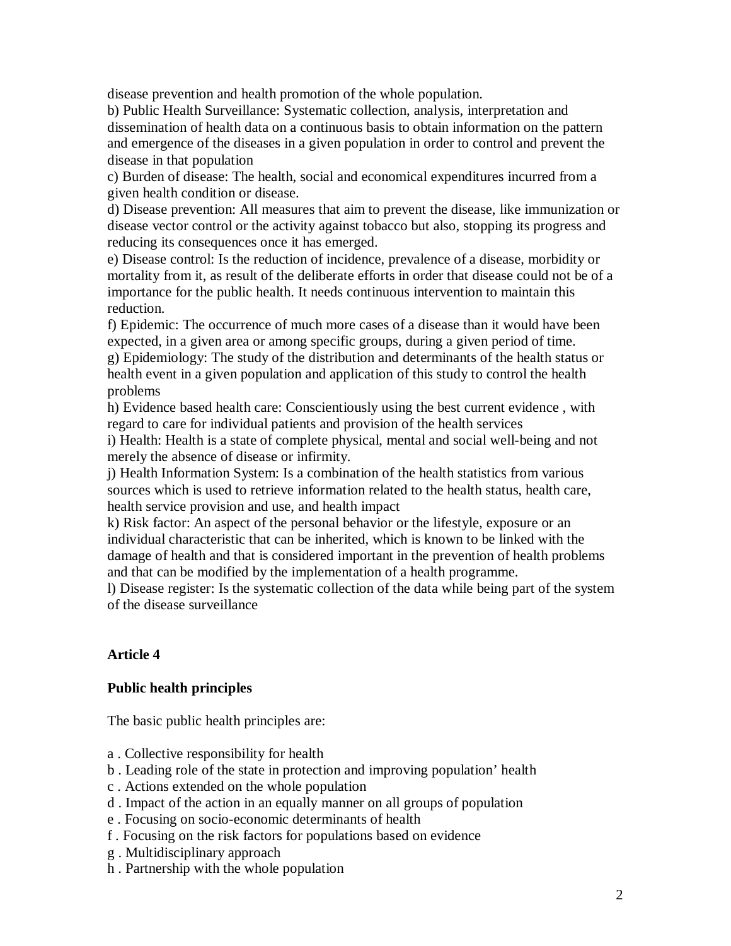disease prevention and health promotion of the whole population.

b) Public Health Surveillance: Systematic collection, analysis, interpretation and dissemination of health data on a continuous basis to obtain information on the pattern and emergence of the diseases in a given population in order to control and prevent the disease in that population

c) Burden of disease: The health, social and economical expenditures incurred from a given health condition or disease.

d) Disease prevention: All measures that aim to prevent the disease, like immunization or disease vector control or the activity against tobacco but also, stopping its progress and reducing its consequences once it has emerged.

e) Disease control: Is the reduction of incidence, prevalence of a disease, morbidity or mortality from it, as result of the deliberate efforts in order that disease could not be of a importance for the public health. It needs continuous intervention to maintain this reduction.

f) Epidemic: The occurrence of much more cases of a disease than it would have been expected, in a given area or among specific groups, during a given period of time.

g) Epidemiology: The study of the distribution and determinants of the health status or health event in a given population and application of this study to control the health problems

h) Evidence based health care: Conscientiously using the best current evidence , with regard to care for individual patients and provision of the health services

i) Health: Health is a state of complete physical, mental and social well-being and not merely the absence of disease or infirmity.

j) Health Information System: Is a combination of the health statistics from various sources which is used to retrieve information related to the health status, health care, health service provision and use, and health impact

k) Risk factor: An aspect of the personal behavior or the lifestyle, exposure or an individual characteristic that can be inherited, which is known to be linked with the damage of health and that is considered important in the prevention of health problems and that can be modified by the implementation of a health programme.

l) Disease register: Is the systematic collection of the data while being part of the system of the disease surveillance

# **Article 4**

### **Public health principles**

The basic public health principles are:

- a . Collective responsibility for health
- b . Leading role of the state in protection and improving population' health
- c . Actions extended on the whole population
- d . Impact of the action in an equally manner on all groups of population
- e . Focusing on socio-economic determinants of health
- f . Focusing on the risk factors for populations based on evidence
- g . Multidisciplinary approach
- h . Partnership with the whole population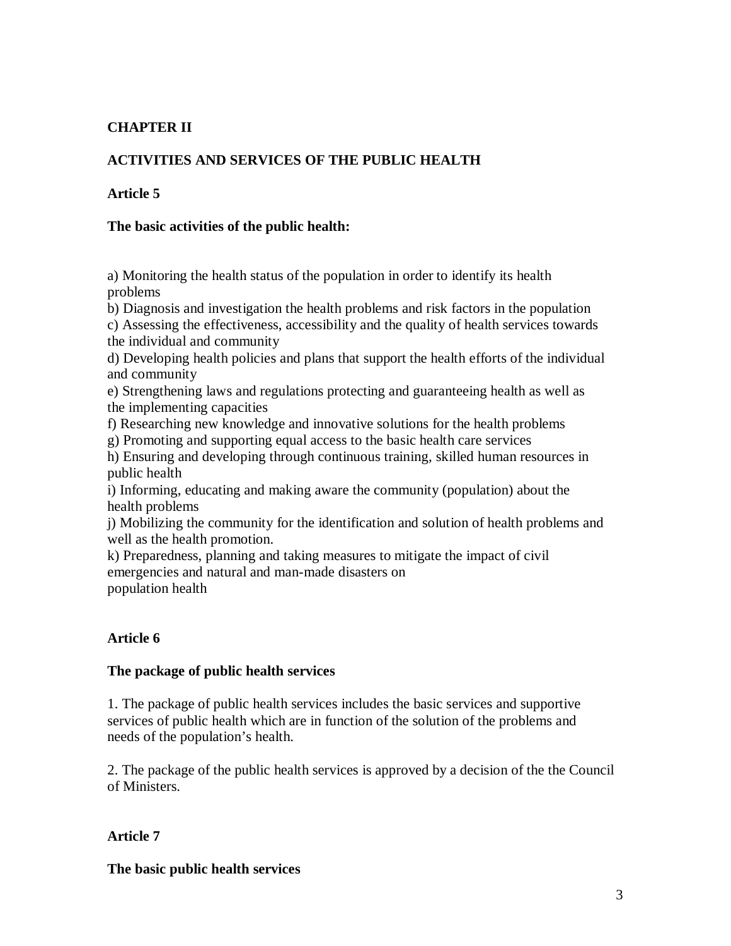# **CHAPTER II**

## **ACTIVITIES AND SERVICES OF THE PUBLIC HEALTH**

#### **Article 5**

#### **The basic activities of the public health:**

a) Monitoring the health status of the population in order to identify its health problems

b) Diagnosis and investigation the health problems and risk factors in the population

c) Assessing the effectiveness, accessibility and the quality of health services towards the individual and community

d) Developing health policies and plans that support the health efforts of the individual and community

e) Strengthening laws and regulations protecting and guaranteeing health as well as the implementing capacities

f) Researching new knowledge and innovative solutions for the health problems

g) Promoting and supporting equal access to the basic health care services

h) Ensuring and developing through continuous training, skilled human resources in public health

i) Informing, educating and making aware the community (population) about the health problems

j) Mobilizing the community for the identification and solution of health problems and well as the health promotion.

k) Preparedness, planning and taking measures to mitigate the impact of civil emergencies and natural and man-made disasters on population health

### **Article 6**

#### **The package of public health services**

1. The package of public health services includes the basic services and supportive services of public health which are in function of the solution of the problems and needs of the population's health.

2. The package of the public health services is approved by a decision of the the Council of Ministers.

#### **Article 7**

**The basic public health services**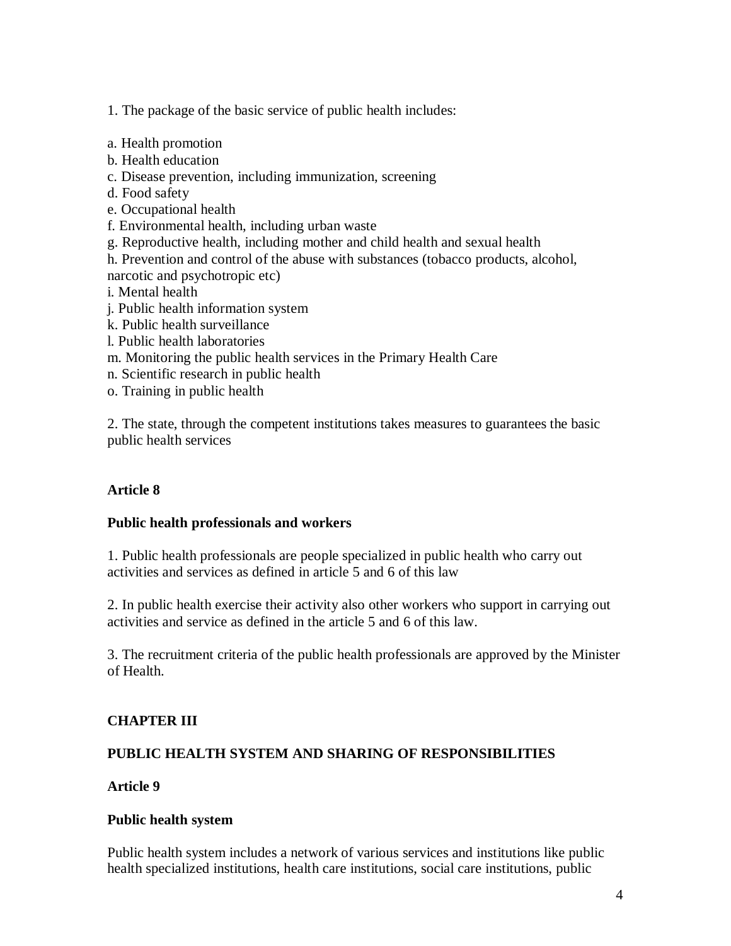1. The package of the basic service of public health includes:

- a. Health promotion
- b. Health education
- c. Disease prevention, including immunization, screening
- d. Food safety
- e. Occupational health
- f. Environmental health, including urban waste
- g. Reproductive health, including mother and child health and sexual health
- h. Prevention and control of the abuse with substances (tobacco products, alcohol,
- narcotic and psychotropic etc)
- i. Mental health
- j. Public health information system
- k. Public health surveillance
- l. Public health laboratories
- m. Monitoring the public health services in the Primary Health Care
- n. Scientific research in public health
- o. Training in public health

2. The state, through the competent institutions takes measures to guarantees the basic public health services

# **Article 8**

### **Public health professionals and workers**

1. Public health professionals are people specialized in public health who carry out activities and services as defined in article 5 and 6 of this law

2. In public health exercise their activity also other workers who support in carrying out activities and service as defined in the article 5 and 6 of this law.

3. The recruitment criteria of the public health professionals are approved by the Minister of Health.

# **CHAPTER III**

# **PUBLIC HEALTH SYSTEM AND SHARING OF RESPONSIBILITIES**

### **Article 9**

### **Public health system**

Public health system includes a network of various services and institutions like public health specialized institutions, health care institutions, social care institutions, public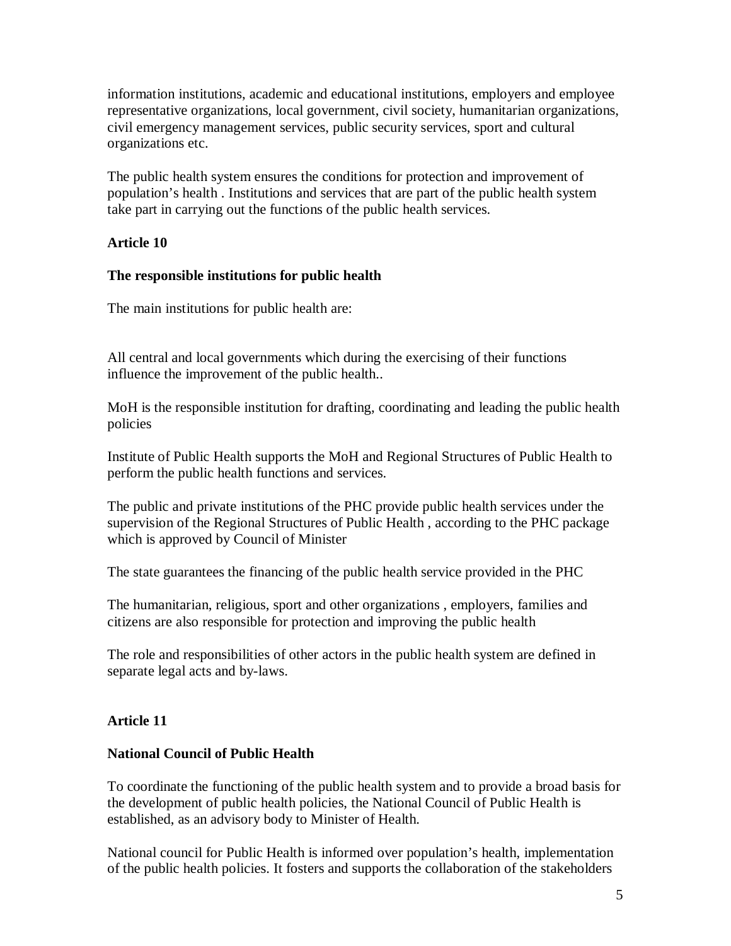information institutions, academic and educational institutions, employers and employee representative organizations, local government, civil society, humanitarian organizations, civil emergency management services, public security services, sport and cultural organizations etc.

The public health system ensures the conditions for protection and improvement of population's health . Institutions and services that are part of the public health system take part in carrying out the functions of the public health services.

### **Article 10**

#### **The responsible institutions for public health**

The main institutions for public health are:

All central and local governments which during the exercising of their functions influence the improvement of the public health..

MoH is the responsible institution for drafting, coordinating and leading the public health policies

Institute of Public Health supports the MoH and Regional Structures of Public Health to perform the public health functions and services.

The public and private institutions of the PHC provide public health services under the supervision of the Regional Structures of Public Health , according to the PHC package which is approved by Council of Minister

The state guarantees the financing of the public health service provided in the PHC

The humanitarian, religious, sport and other organizations , employers, families and citizens are also responsible for protection and improving the public health

The role and responsibilities of other actors in the public health system are defined in separate legal acts and by-laws.

### **Article 11**

#### **National Council of Public Health**

To coordinate the functioning of the public health system and to provide a broad basis for the development of public health policies, the National Council of Public Health is established, as an advisory body to Minister of Health.

National council for Public Health is informed over population's health, implementation of the public health policies. It fosters and supports the collaboration of the stakeholders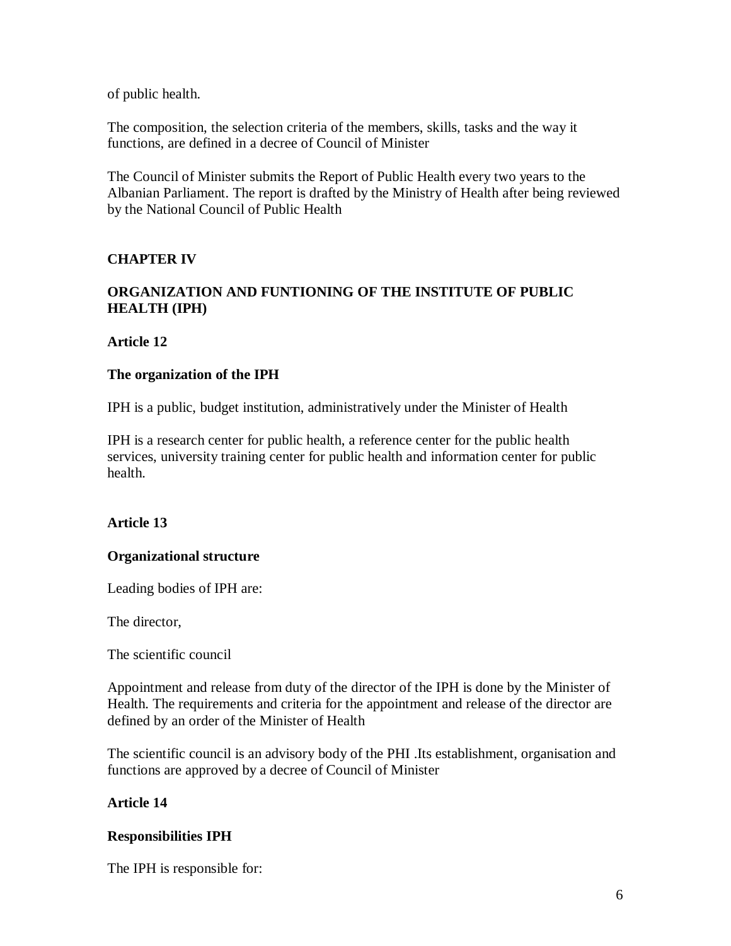of public health.

The composition, the selection criteria of the members, skills, tasks and the way it functions, are defined in a decree of Council of Minister

The Council of Minister submits the Report of Public Health every two years to the Albanian Parliament. The report is drafted by the Ministry of Health after being reviewed by the National Council of Public Health

### **CHAPTER IV**

## **ORGANIZATION AND FUNTIONING OF THE INSTITUTE OF PUBLIC HEALTH (IPH)**

#### **Article 12**

#### **The organization of the IPH**

IPH is a public, budget institution, administratively under the Minister of Health

IPH is a research center for public health, a reference center for the public health services, university training center for public health and information center for public health.

### **Article 13**

#### **Organizational structure**

Leading bodies of IPH are:

The director,

The scientific council

Appointment and release from duty of the director of the IPH is done by the Minister of Health. The requirements and criteria for the appointment and release of the director are defined by an order of the Minister of Health

The scientific council is an advisory body of the PHI .Its establishment, organisation and functions are approved by a decree of Council of Minister

### **Article 14**

### **Responsibilities IPH**

The IPH is responsible for: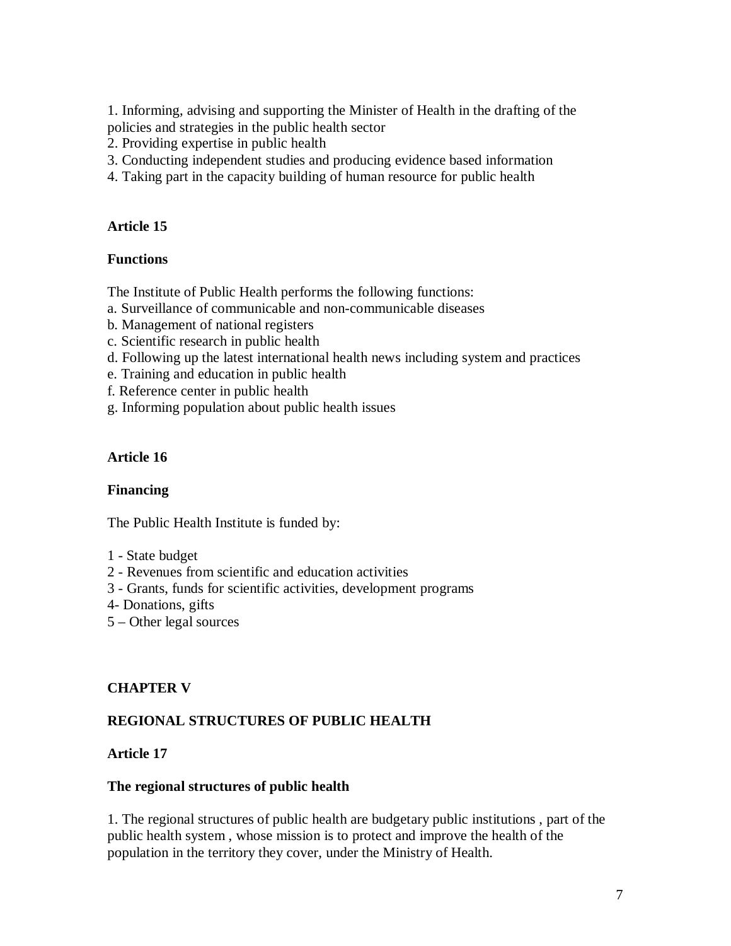1. Informing, advising and supporting the Minister of Health in the drafting of the policies and strategies in the public health sector

- 2. Providing expertise in public health
- 3. Conducting independent studies and producing evidence based information
- 4. Taking part in the capacity building of human resource for public health

#### **Article 15**

#### **Functions**

The Institute of Public Health performs the following functions:

- a. Surveillance of communicable and non-communicable diseases
- b. Management of national registers
- c. Scientific research in public health
- d. Following up the latest international health news including system and practices
- e. Training and education in public health
- f. Reference center in public health
- g. Informing population about public health issues

#### **Article 16**

#### **Financing**

The Public Health Institute is funded by:

- 1 State budget
- 2 Revenues from scientific and education activities
- 3 Grants, funds for scientific activities, development programs
- 4- Donations, gifts
- 5 Other legal sources

### **CHAPTER V**

### **REGIONAL STRUCTURES OF PUBLIC HEALTH**

### **Article 17**

#### **The regional structures of public health**

1. The regional structures of public health are budgetary public institutions , part of the public health system , whose mission is to protect and improve the health of the population in the territory they cover, under the Ministry of Health.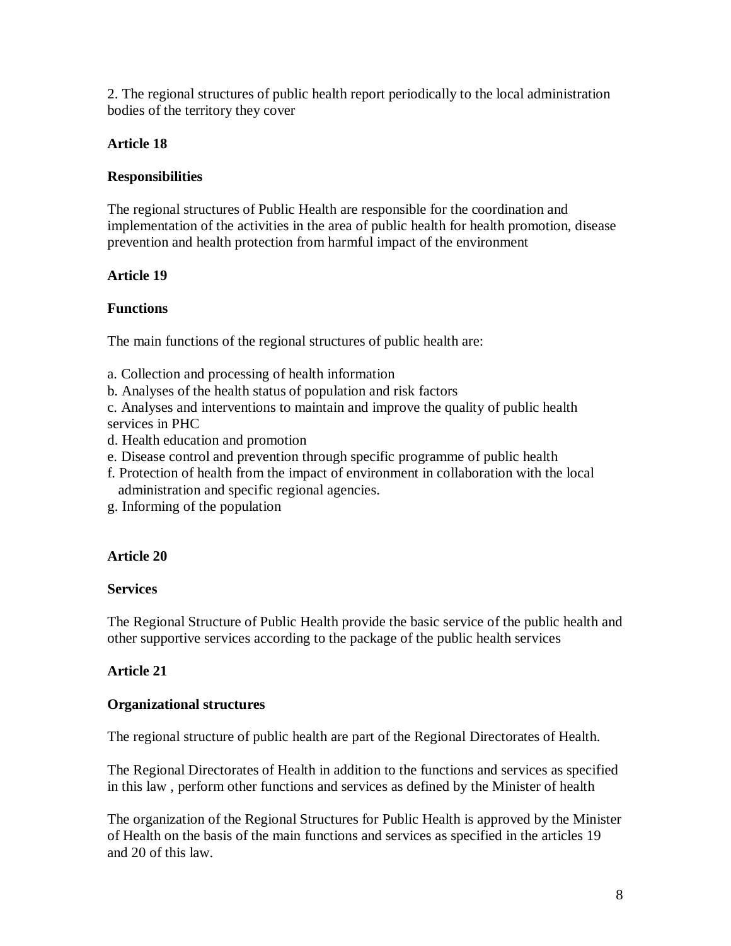2. The regional structures of public health report periodically to the local administration bodies of the territory they cover

# **Article 18**

# **Responsibilities**

The regional structures of Public Health are responsible for the coordination and implementation of the activities in the area of public health for health promotion, disease prevention and health protection from harmful impact of the environment

# **Article 19**

# **Functions**

The main functions of the regional structures of public health are:

- a. Collection and processing of health information
- b. Analyses of the health status of population and risk factors

c. Analyses and interventions to maintain and improve the quality of public health services in PHC

- d. Health education and promotion
- e. Disease control and prevention through specific programme of public health
- f. Protection of health from the impact of environment in collaboration with the local administration and specific regional agencies.
- g. Informing of the population

# **Article 20**

# **Services**

The Regional Structure of Public Health provide the basic service of the public health and other supportive services according to the package of the public health services

# **Article 21**

# **Organizational structures**

The regional structure of public health are part of the Regional Directorates of Health.

The Regional Directorates of Health in addition to the functions and services as specified in this law , perform other functions and services as defined by the Minister of health

The organization of the Regional Structures for Public Health is approved by the Minister of Health on the basis of the main functions and services as specified in the articles 19 and 20 of this law.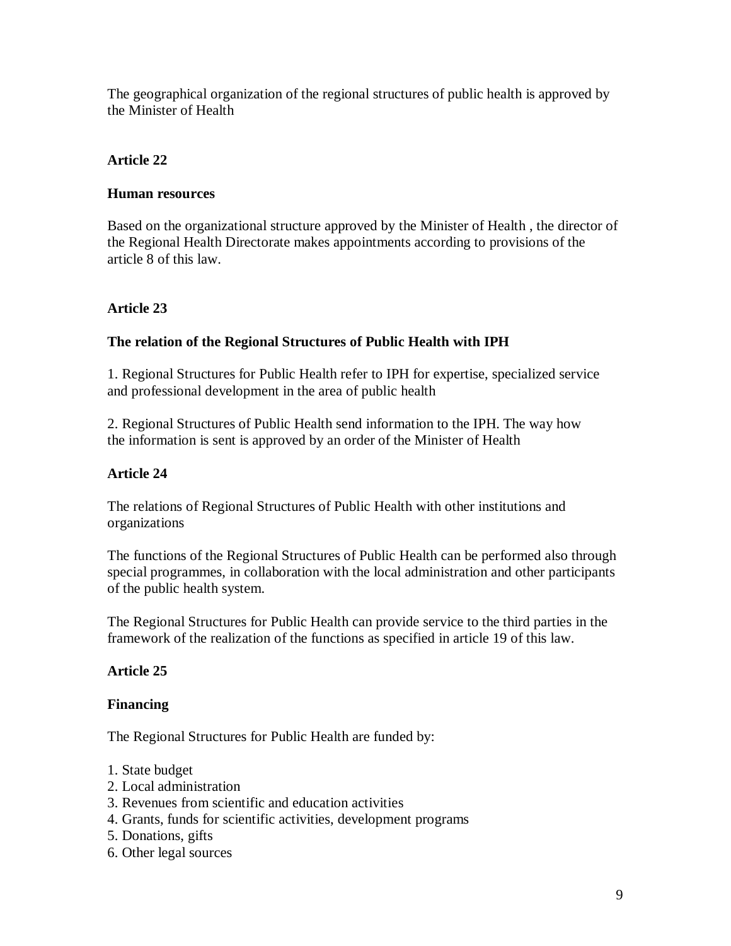The geographical organization of the regional structures of public health is approved by the Minister of Health

# **Article 22**

## **Human resources**

Based on the organizational structure approved by the Minister of Health , the director of the Regional Health Directorate makes appointments according to provisions of the article 8 of this law.

# **Article 23**

# **The relation of the Regional Structures of Public Health with IPH**

1. Regional Structures for Public Health refer to IPH for expertise, specialized service and professional development in the area of public health

2. Regional Structures of Public Health send information to the IPH. The way how the information is sent is approved by an order of the Minister of Health

# **Article 24**

The relations of Regional Structures of Public Health with other institutions and organizations

The functions of the Regional Structures of Public Health can be performed also through special programmes, in collaboration with the local administration and other participants of the public health system.

The Regional Structures for Public Health can provide service to the third parties in the framework of the realization of the functions as specified in article 19 of this law.

# **Article 25**

# **Financing**

The Regional Structures for Public Health are funded by:

- 1. State budget
- 2. Local administration
- 3. Revenues from scientific and education activities
- 4. Grants, funds for scientific activities, development programs
- 5. Donations, gifts
- 6. Other legal sources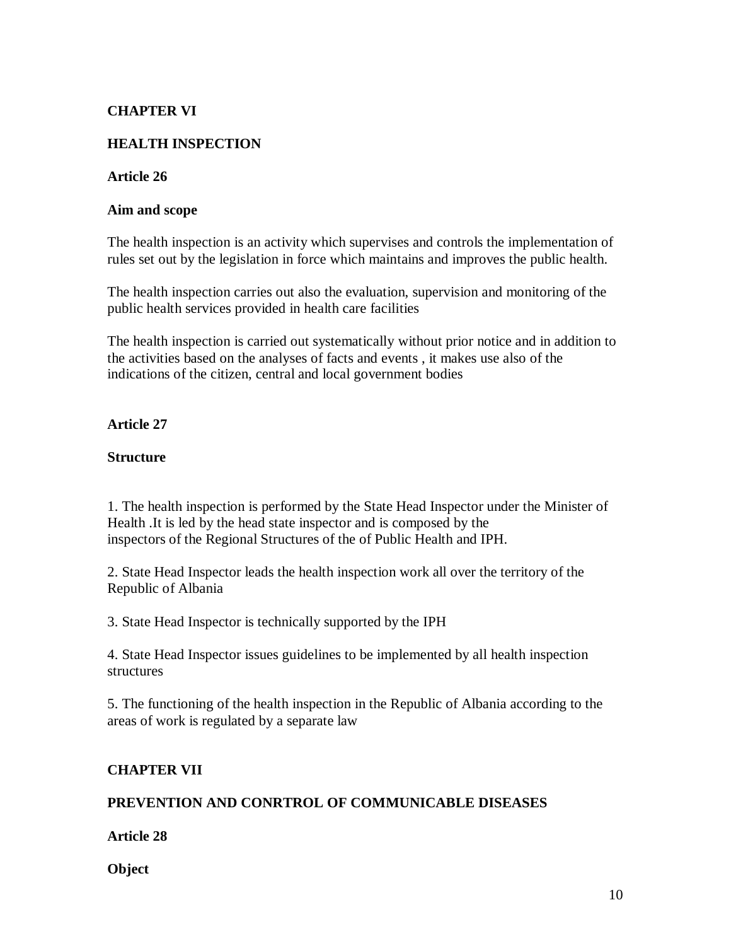## **CHAPTER VI**

### **HEALTH INSPECTION**

#### **Article 26**

#### **Aim and scope**

The health inspection is an activity which supervises and controls the implementation of rules set out by the legislation in force which maintains and improves the public health.

The health inspection carries out also the evaluation, supervision and monitoring of the public health services provided in health care facilities

The health inspection is carried out systematically without prior notice and in addition to the activities based on the analyses of facts and events , it makes use also of the indications of the citizen, central and local government bodies

### **Article 27**

#### **Structure**

1. The health inspection is performed by the State Head Inspector under the Minister of Health .It is led by the head state inspector and is composed by the inspectors of the Regional Structures of the of Public Health and IPH.

2. State Head Inspector leads the health inspection work all over the territory of the Republic of Albania

3. State Head Inspector is technically supported by the IPH

4. State Head Inspector issues guidelines to be implemented by all health inspection structures

5. The functioning of the health inspection in the Republic of Albania according to the areas of work is regulated by a separate law

### **CHAPTER VII**

## **PREVENTION AND CONRTROL OF COMMUNICABLE DISEASES**

**Article 28**

**Object**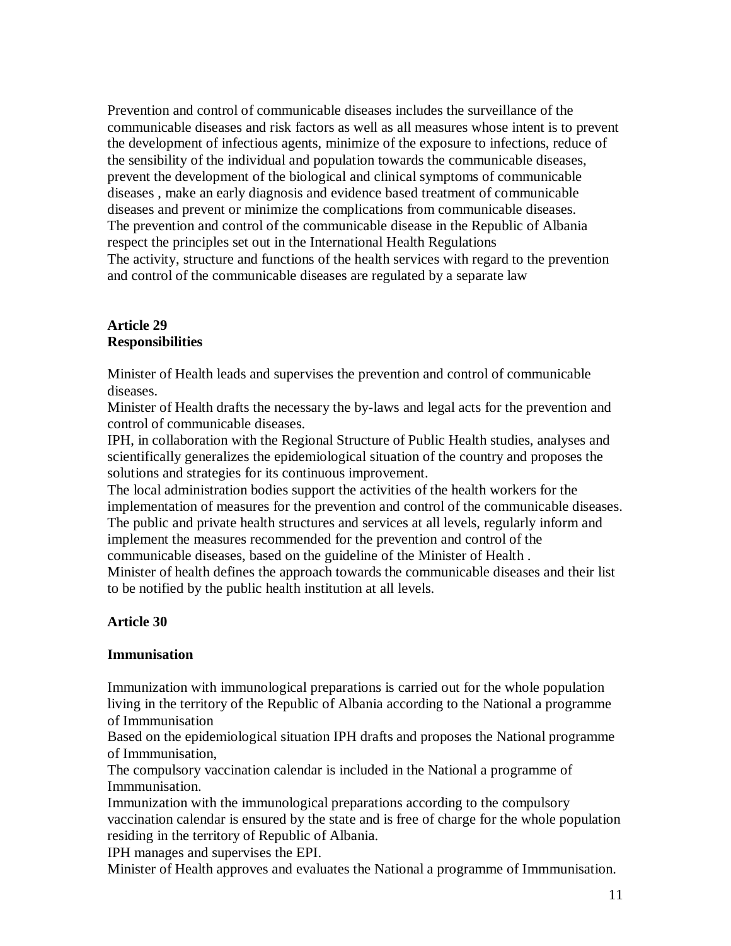Prevention and control of communicable diseases includes the surveillance of the communicable diseases and risk factors as well as all measures whose intent is to prevent the development of infectious agents, minimize of the exposure to infections, reduce of the sensibility of the individual and population towards the communicable diseases, prevent the development of the biological and clinical symptoms of communicable diseases , make an early diagnosis and evidence based treatment of communicable diseases and prevent or minimize the complications from communicable diseases. The prevention and control of the communicable disease in the Republic of Albania respect the principles set out in the International Health Regulations The activity, structure and functions of the health services with regard to the prevention and control of the communicable diseases are regulated by a separate law

#### **Article 29 Responsibilities**

Minister of Health leads and supervises the prevention and control of communicable diseases.

Minister of Health drafts the necessary the by-laws and legal acts for the prevention and control of communicable diseases.

IPH, in collaboration with the Regional Structure of Public Health studies, analyses and scientifically generalizes the epidemiological situation of the country and proposes the solutions and strategies for its continuous improvement.

The local administration bodies support the activities of the health workers for the implementation of measures for the prevention and control of the communicable diseases. The public and private health structures and services at all levels, regularly inform and implement the measures recommended for the prevention and control of the

communicable diseases, based on the guideline of the Minister of Health .

Minister of health defines the approach towards the communicable diseases and their list to be notified by the public health institution at all levels.

# **Article 30**

### **Immunisation**

Immunization with immunological preparations is carried out for the whole population living in the territory of the Republic of Albania according to the National a programme of Immmunisation

Based on the epidemiological situation IPH drafts and proposes the National programme of Immmunisation,

The compulsory vaccination calendar is included in the National a programme of Immmunisation.

Immunization with the immunological preparations according to the compulsory vaccination calendar is ensured by the state and is free of charge for the whole population residing in the territory of Republic of Albania.

IPH manages and supervises the EPI.

Minister of Health approves and evaluates the National a programme of Immmunisation.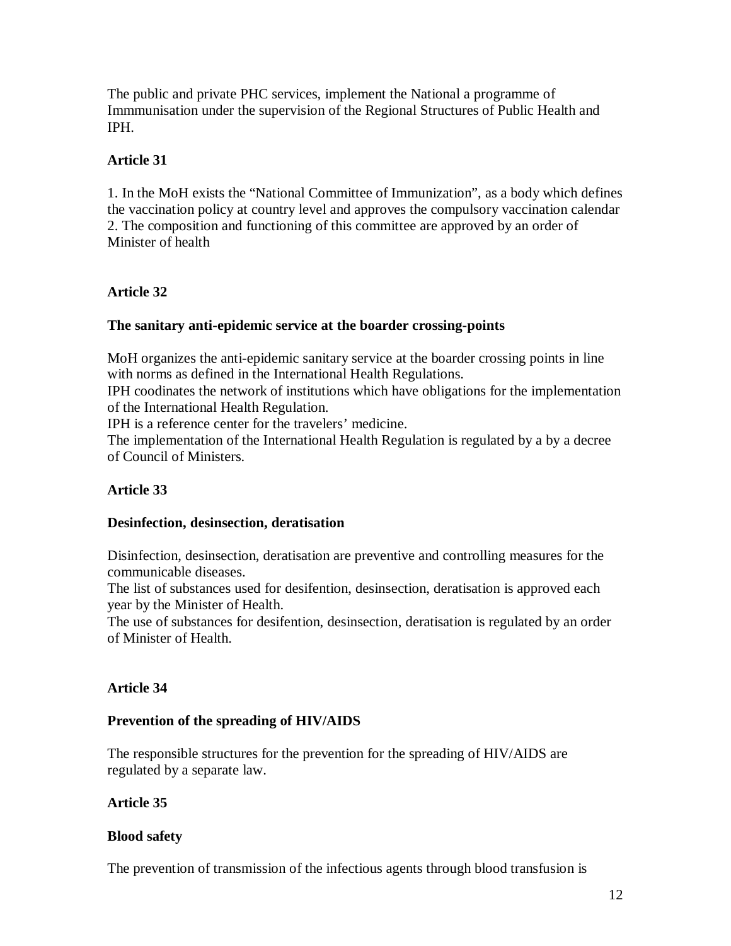The public and private PHC services, implement the National a programme of Immmunisation under the supervision of the Regional Structures of Public Health and IPH.

## **Article 31**

1. In the MoH exists the "National Committee of Immunization", as a body which defines the vaccination policy at country level and approves the compulsory vaccination calendar 2. The composition and functioning of this committee are approved by an order of Minister of health

### **Article 32**

### **The sanitary anti-epidemic service at the boarder crossing-points**

MoH organizes the anti-epidemic sanitary service at the boarder crossing points in line with norms as defined in the International Health Regulations.

IPH coodinates the network of institutions which have obligations for the implementation of the International Health Regulation.

IPH is a reference center for the travelers' medicine.

The implementation of the International Health Regulation is regulated by a by a decree of Council of Ministers.

### **Article 33**

### **Desinfection, desinsection, deratisation**

Disinfection, desinsection, deratisation are preventive and controlling measures for the communicable diseases.

The list of substances used for desifention, desinsection, deratisation is approved each year by the Minister of Health.

The use of substances for desifention, desinsection, deratisation is regulated by an order of Minister of Health.

### **Article 34**

### **Prevention of the spreading of HIV/AIDS**

The responsible structures for the prevention for the spreading of HIV/AIDS are regulated by a separate law.

### **Article 35**

### **Blood safety**

The prevention of transmission of the infectious agents through blood transfusion is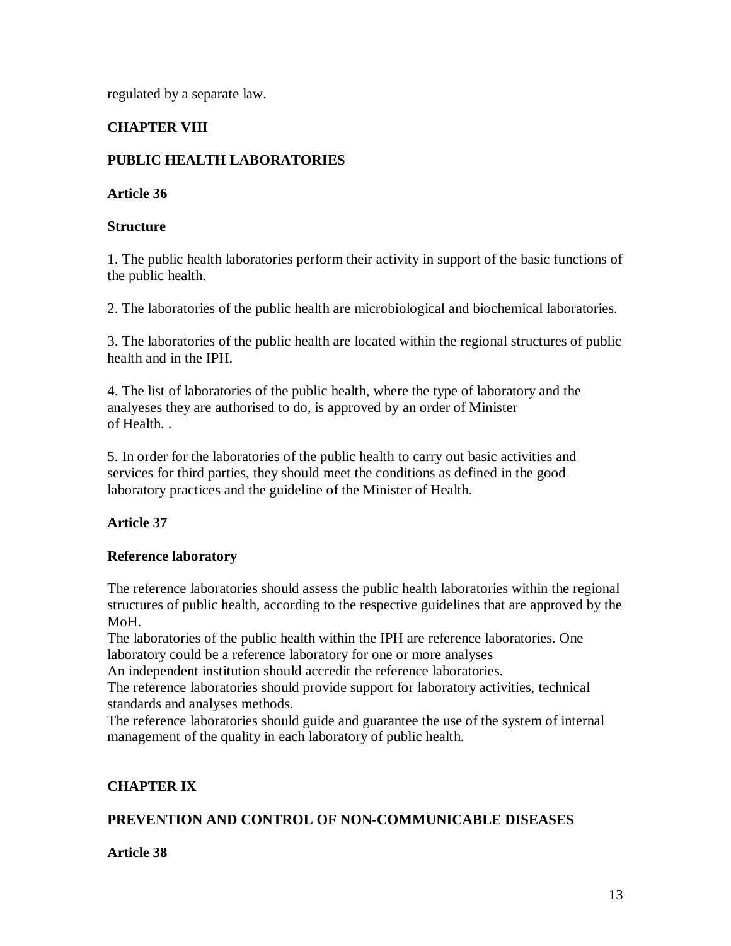regulated by a separate law.

## **CHAPTER VIII**

## **PUBLIC HEALTH LABORATORIES**

#### **Article 36**

#### **Structure**

1. The public health laboratories perform their activity in support of the basic functions of the public health.

2. The laboratories of the public health are microbiological and biochemical laboratories.

3. The laboratories of the public health are located within the regional structures of public health and in the IPH.

4. The list of laboratories of the public health, where the type of laboratory and the analyeses they are authorised to do, is approved by an order of Minister of Health. .

5. In order for the laboratories of the public health to carry out basic activities and services for third parties, they should meet the conditions as defined in the good laboratory practices and the guideline of the Minister of Health.

### **Article 37**

### **Reference laboratory**

The reference laboratories should assess the public health laboratories within the regional structures of public health, according to the respective guidelines that are approved by the MoH.

The laboratories of the public health within the IPH are reference laboratories. One laboratory could be a reference laboratory for one or more analyses

An independent institution should accredit the reference laboratories.

The reference laboratories should provide support for laboratory activities, technical standards and analyses methods.

The reference laboratories should guide and guarantee the use of the system of internal management of the quality in each laboratory of public health.

### **CHAPTER IX**

### **PREVENTION AND CONTROL OF NON-COMMUNICABLE DISEASES**

### **Article 38**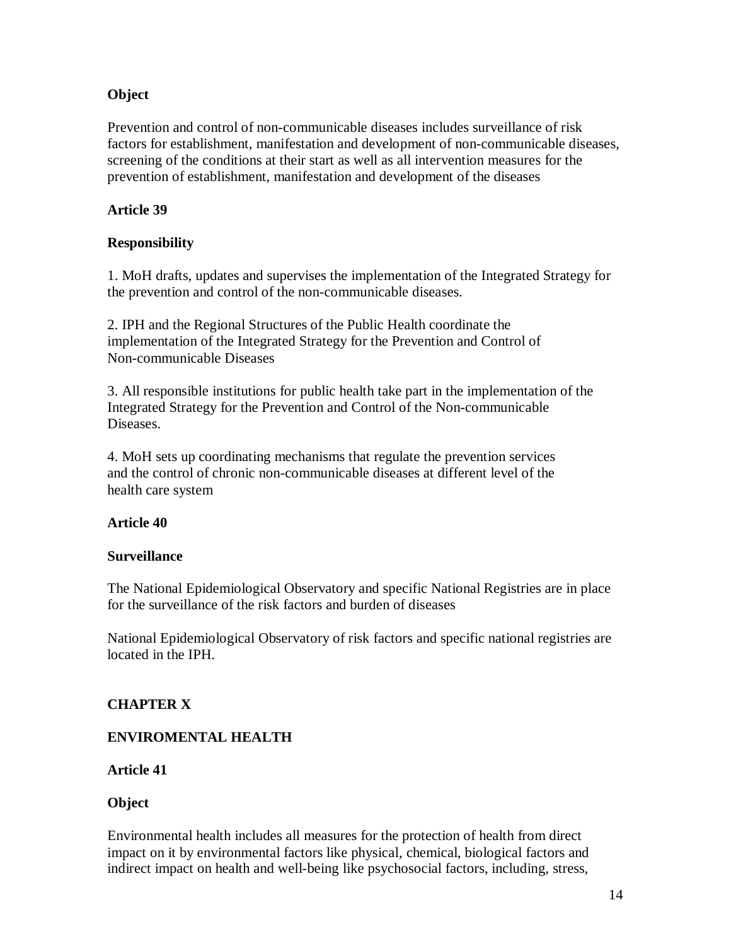## **Object**

Prevention and control of non-communicable diseases includes surveillance of risk factors for establishment, manifestation and development of non-communicable diseases, screening of the conditions at their start as well as all intervention measures for the prevention of establishment, manifestation and development of the diseases

## **Article 39**

## **Responsibility**

1. MoH drafts, updates and supervises the implementation of the Integrated Strategy for the prevention and control of the non-communicable diseases.

2. IPH and the Regional Structures of the Public Health coordinate the implementation of the Integrated Strategy for the Prevention and Control of Non-communicable Diseases

3. All responsible institutions for public health take part in the implementation of the Integrated Strategy for the Prevention and Control of the Non-communicable Diseases.

4. MoH sets up coordinating mechanisms that regulate the prevention services and the control of chronic non-communicable diseases at different level of the health care system

### **Article 40**

### **Surveillance**

The National Epidemiological Observatory and specific National Registries are in place for the surveillance of the risk factors and burden of diseases

National Epidemiological Observatory of risk factors and specific national registries are located in the IPH.

### **CHAPTER X**

# **ENVIROMENTAL HEALTH**

**Article 41**

### **Object**

Environmental health includes all measures for the protection of health from direct impact on it by environmental factors like physical, chemical, biological factors and indirect impact on health and well-being like psychosocial factors, including, stress,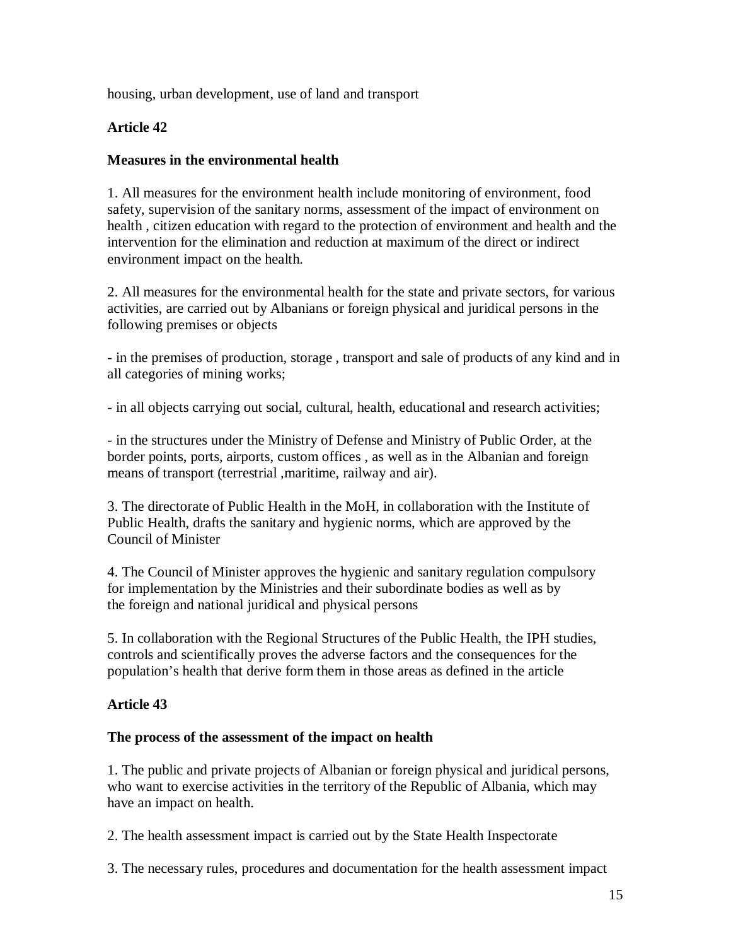housing, urban development, use of land and transport

## **Article 42**

#### **Measures in the environmental health**

1. All measures for the environment health include monitoring of environment, food safety, supervision of the sanitary norms, assessment of the impact of environment on health , citizen education with regard to the protection of environment and health and the intervention for the elimination and reduction at maximum of the direct or indirect environment impact on the health.

2. All measures for the environmental health for the state and private sectors, for various activities, are carried out by Albanians or foreign physical and juridical persons in the following premises or objects

- in the premises of production, storage , transport and sale of products of any kind and in all categories of mining works;

- in all objects carrying out social, cultural, health, educational and research activities;

- in the structures under the Ministry of Defense and Ministry of Public Order, at the border points, ports, airports, custom offices , as well as in the Albanian and foreign means of transport (terrestrial ,maritime, railway and air).

3. The directorate of Public Health in the MoH, in collaboration with the Institute of Public Health, drafts the sanitary and hygienic norms, which are approved by the Council of Minister

4. The Council of Minister approves the hygienic and sanitary regulation compulsory for implementation by the Ministries and their subordinate bodies as well as by the foreign and national juridical and physical persons

5. In collaboration with the Regional Structures of the Public Health, the IPH studies, controls and scientifically proves the adverse factors and the consequences for the population's health that derive form them in those areas as defined in the article

### **Article 43**

#### **The process of the assessment of the impact on health**

1. The public and private projects of Albanian or foreign physical and juridical persons, who want to exercise activities in the territory of the Republic of Albania, which may have an impact on health.

2. The health assessment impact is carried out by the State Health Inspectorate

3. The necessary rules, procedures and documentation for the health assessment impact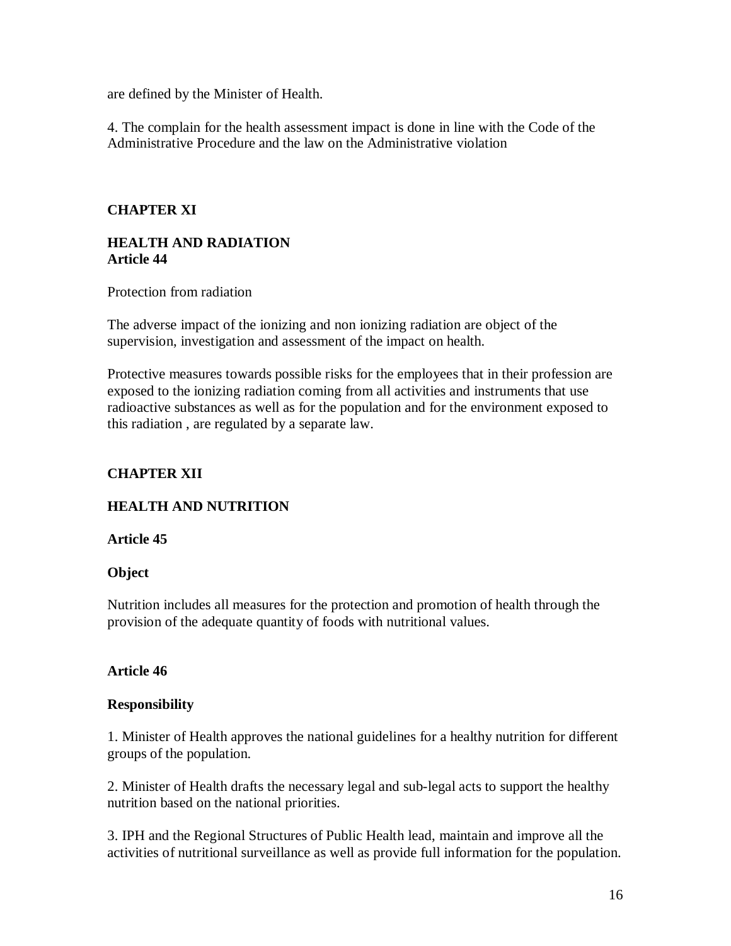are defined by the Minister of Health.

4. The complain for the health assessment impact is done in line with the Code of the Administrative Procedure and the law on the Administrative violation

#### **CHAPTER XI**

#### **HEALTH AND RADIATION Article 44**

Protection from radiation

The adverse impact of the ionizing and non ionizing radiation are object of the supervision, investigation and assessment of the impact on health.

Protective measures towards possible risks for the employees that in their profession are exposed to the ionizing radiation coming from all activities and instruments that use radioactive substances as well as for the population and for the environment exposed to this radiation , are regulated by a separate law.

## **CHAPTER XII**

### **HEALTH AND NUTRITION**

**Article 45**

#### **Object**

Nutrition includes all measures for the protection and promotion of health through the provision of the adequate quantity of foods with nutritional values.

#### **Article 46**

#### **Responsibility**

1. Minister of Health approves the national guidelines for a healthy nutrition for different groups of the population.

2. Minister of Health drafts the necessary legal and sub-legal acts to support the healthy nutrition based on the national priorities.

3. IPH and the Regional Structures of Public Health lead, maintain and improve all the activities of nutritional surveillance as well as provide full information for the population.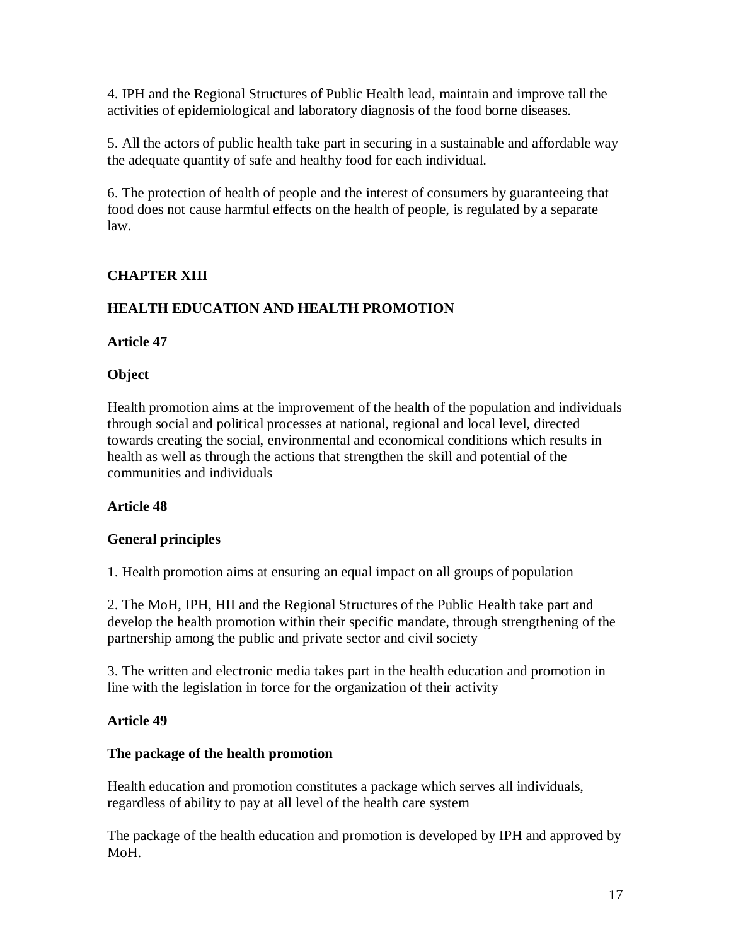4. IPH and the Regional Structures of Public Health lead, maintain and improve tall the activities of epidemiological and laboratory diagnosis of the food borne diseases.

5. All the actors of public health take part in securing in a sustainable and affordable way the adequate quantity of safe and healthy food for each individual.

6. The protection of health of people and the interest of consumers by guaranteeing that food does not cause harmful effects on the health of people, is regulated by a separate law.

# **CHAPTER XIII**

# **HEALTH EDUCATION AND HEALTH PROMOTION**

### **Article 47**

### **Object**

Health promotion aims at the improvement of the health of the population and individuals through social and political processes at national, regional and local level, directed towards creating the social, environmental and economical conditions which results in health as well as through the actions that strengthen the skill and potential of the communities and individuals

### **Article 48**

### **General principles**

1. Health promotion aims at ensuring an equal impact on all groups of population

2. The MoH, IPH, HII and the Regional Structures of the Public Health take part and develop the health promotion within their specific mandate, through strengthening of the partnership among the public and private sector and civil society

3. The written and electronic media takes part in the health education and promotion in line with the legislation in force for the organization of their activity

### **Article 49**

### **The package of the health promotion**

Health education and promotion constitutes a package which serves all individuals, regardless of ability to pay at all level of the health care system

The package of the health education and promotion is developed by IPH and approved by MoH.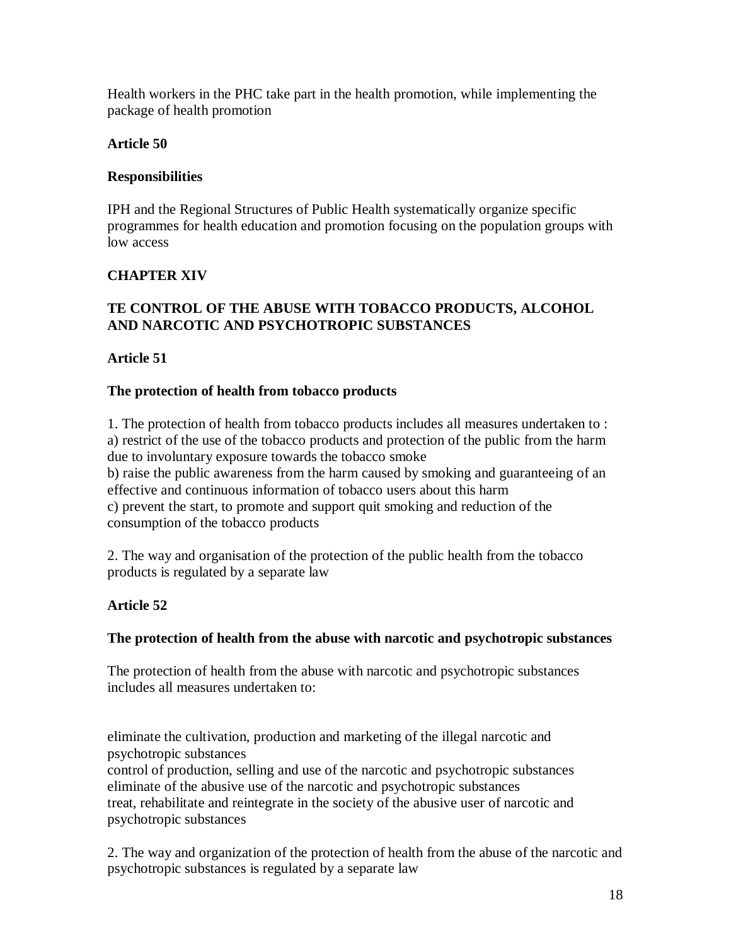Health workers in the PHC take part in the health promotion, while implementing the package of health promotion

## **Article 50**

## **Responsibilities**

IPH and the Regional Structures of Public Health systematically organize specific programmes for health education and promotion focusing on the population groups with low access

# **CHAPTER XIV**

## **TE CONTROL OF THE ABUSE WITH TOBACCO PRODUCTS, ALCOHOL AND NARCOTIC AND PSYCHOTROPIC SUBSTANCES**

## **Article 51**

## **The protection of health from tobacco products**

1. The protection of health from tobacco products includes all measures undertaken to : a) restrict of the use of the tobacco products and protection of the public from the harm due to involuntary exposure towards the tobacco smoke b) raise the public awareness from the harm caused by smoking and guaranteeing of an effective and continuous information of tobacco users about this harm c) prevent the start, to promote and support quit smoking and reduction of the consumption of the tobacco products

2. The way and organisation of the protection of the public health from the tobacco products is regulated by a separate law

# **Article 52**

### **The protection of health from the abuse with narcotic and psychotropic substances**

The protection of health from the abuse with narcotic and psychotropic substances includes all measures undertaken to:

eliminate the cultivation, production and marketing of the illegal narcotic and psychotropic substances

control of production, selling and use of the narcotic and psychotropic substances eliminate of the abusive use of the narcotic and psychotropic substances treat, rehabilitate and reintegrate in the society of the abusive user of narcotic and psychotropic substances

2. The way and organization of the protection of health from the abuse of the narcotic and psychotropic substances is regulated by a separate law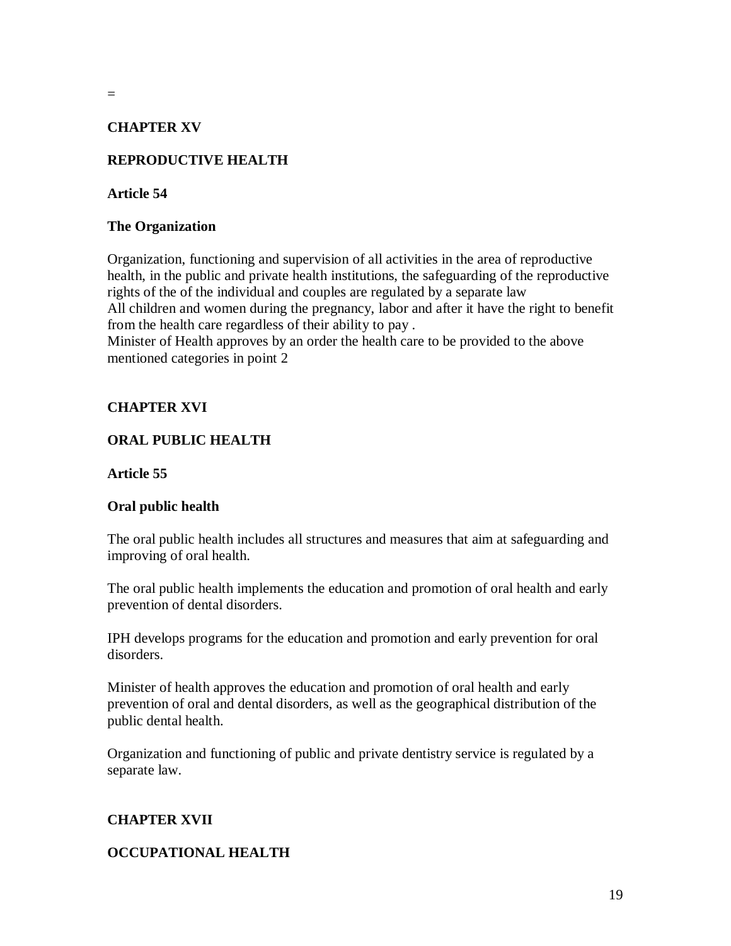## **CHAPTER XV**

# **REPRODUCTIVE HEALTH**

#### **Article 54**

=

#### **The Organization**

Organization, functioning and supervision of all activities in the area of reproductive health, in the public and private health institutions, the safeguarding of the reproductive rights of the of the individual and couples are regulated by a separate law All children and women during the pregnancy, labor and after it have the right to benefit from the health care regardless of their ability to pay .

Minister of Health approves by an order the health care to be provided to the above mentioned categories in point 2

### **CHAPTER XVI**

## **ORAL PUBLIC HEALTH**

#### **Article 55**

### **Oral public health**

The oral public health includes all structures and measures that aim at safeguarding and improving of oral health.

The oral public health implements the education and promotion of oral health and early prevention of dental disorders.

IPH develops programs for the education and promotion and early prevention for oral disorders.

Minister of health approves the education and promotion of oral health and early prevention of oral and dental disorders, as well as the geographical distribution of the public dental health.

Organization and functioning of public and private dentistry service is regulated by a separate law.

### **CHAPTER XVII**

#### **OCCUPATIONAL HEALTH**

19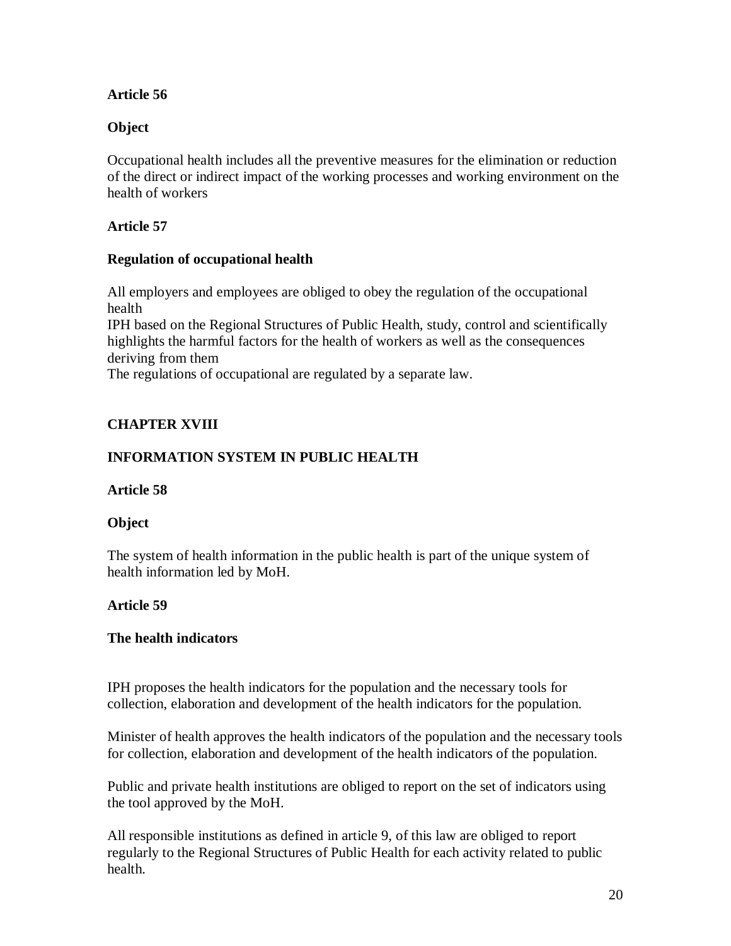### **Article 56**

## **Object**

Occupational health includes all the preventive measures for the elimination or reduction of the direct or indirect impact of the working processes and working environment on the health of workers

### **Article 57**

### **Regulation of occupational health**

All employers and employees are obliged to obey the regulation of the occupational health

IPH based on the Regional Structures of Public Health, study, control and scientifically highlights the harmful factors for the health of workers as well as the consequences deriving from them

The regulations of occupational are regulated by a separate law.

# **CHAPTER XVIII**

## **INFORMATION SYSTEM IN PUBLIC HEALTH**

#### **Article 58**

### **Object**

The system of health information in the public health is part of the unique system of health information led by MoH.

### **Article 59**

### **The health indicators**

IPH proposes the health indicators for the population and the necessary tools for collection, elaboration and development of the health indicators for the population.

Minister of health approves the health indicators of the population and the necessary tools for collection, elaboration and development of the health indicators of the population.

Public and private health institutions are obliged to report on the set of indicators using the tool approved by the MoH.

All responsible institutions as defined in article 9, of this law are obliged to report regularly to the Regional Structures of Public Health for each activity related to public health.